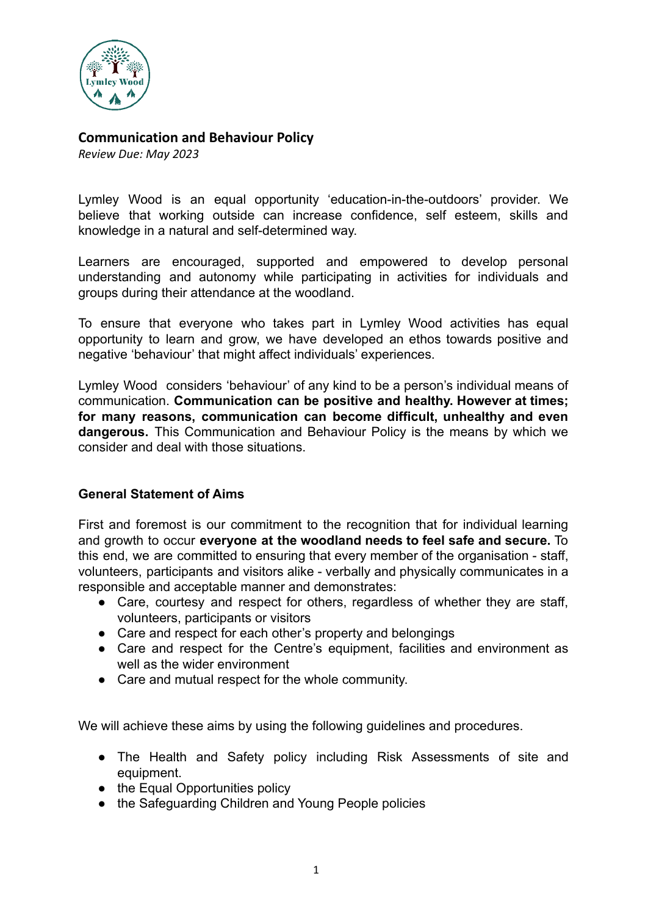

## **Communication and Behaviour Policy**

*Review Due: May 2023*

Lymley Wood is an equal opportunity 'education-in-the-outdoors' provider. We believe that working outside can increase confidence, self esteem, skills and knowledge in a natural and self-determined way.

Learners are encouraged, supported and empowered to develop personal understanding and autonomy while participating in activities for individuals and groups during their attendance at the woodland.

To ensure that everyone who takes part in Lymley Wood activities has equal opportunity to learn and grow, we have developed an ethos towards positive and negative 'behaviour' that might affect individuals' experiences.

Lymley Wood considers 'behaviour' of any kind to be a person's individual means of communication. **Communication can be positive and healthy. However at times; for many reasons, communication can become difficult, unhealthy and even dangerous.** This Communication and Behaviour Policy is the means by which we consider and deal with those situations.

## **General Statement of Aims**

First and foremost is our commitment to the recognition that for individual learning and growth to occur **everyone at the woodland needs to feel safe and secure.** To this end, we are committed to ensuring that every member of the organisation - staff, volunteers, participants and visitors alike - verbally and physically communicates in a responsible and acceptable manner and demonstrates:

- Care, courtesy and respect for others, regardless of whether they are staff, volunteers, participants or visitors
- Care and respect for each other's property and belongings
- Care and respect for the Centre's equipment, facilities and environment as well as the wider environment
- Care and mutual respect for the whole community.

We will achieve these aims by using the following guidelines and procedures.

- The Health and Safety policy including Risk Assessments of site and equipment.
- the Equal Opportunities policy
- the Safeguarding Children and Young People policies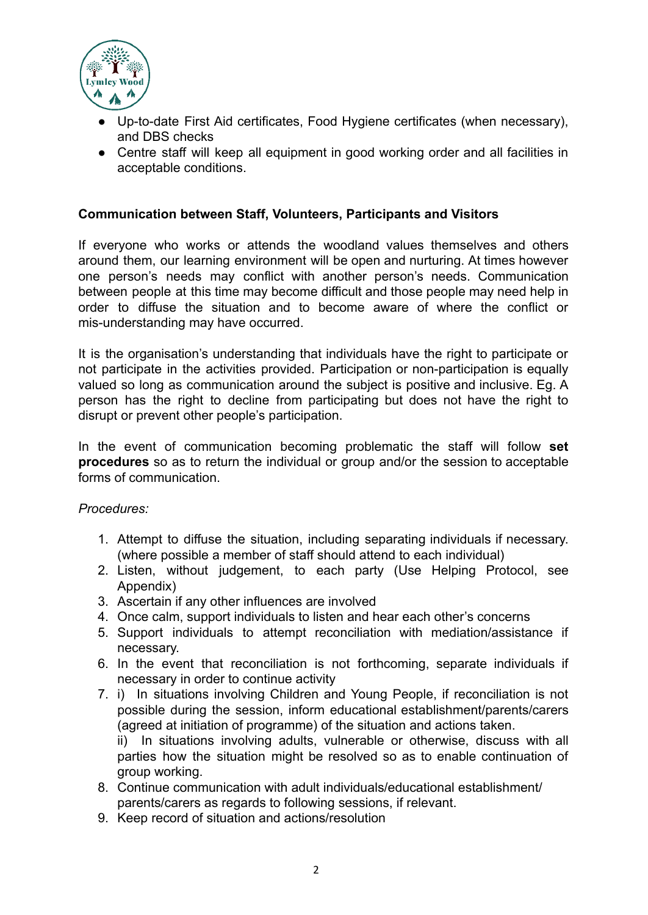

- Up-to-date First Aid certificates, Food Hygiene certificates (when necessary), and DBS checks
- Centre staff will keep all equipment in good working order and all facilities in acceptable conditions.

#### **Communication between Staff, Volunteers, Participants and Visitors**

If everyone who works or attends the woodland values themselves and others around them, our learning environment will be open and nurturing. At times however one person's needs may conflict with another person's needs. Communication between people at this time may become difficult and those people may need help in order to diffuse the situation and to become aware of where the conflict or mis-understanding may have occurred.

It is the organisation's understanding that individuals have the right to participate or not participate in the activities provided. Participation or non-participation is equally valued so long as communication around the subject is positive and inclusive. Eg. A person has the right to decline from participating but does not have the right to disrupt or prevent other people's participation.

In the event of communication becoming problematic the staff will follow **set procedures** so as to return the individual or group and/or the session to acceptable forms of communication.

*Procedures:*

- 1. Attempt to diffuse the situation, including separating individuals if necessary. (where possible a member of staff should attend to each individual)
- 2. Listen, without judgement, to each party (Use Helping Protocol, see Appendix)
- 3. Ascertain if any other influences are involved
- 4. Once calm, support individuals to listen and hear each other's concerns
- 5. Support individuals to attempt reconciliation with mediation/assistance if necessary.
- 6. In the event that reconciliation is not forthcoming, separate individuals if necessary in order to continue activity
- 7. i) In situations involving Children and Young People, if reconciliation is not possible during the session, inform educational establishment/parents/carers (agreed at initiation of programme) of the situation and actions taken. ii) In situations involving adults, vulnerable or otherwise, discuss with all parties how the situation might be resolved so as to enable continuation of group working.
- 8. Continue communication with adult individuals/educational establishment/ parents/carers as regards to following sessions, if relevant.
- 9. Keep record of situation and actions/resolution